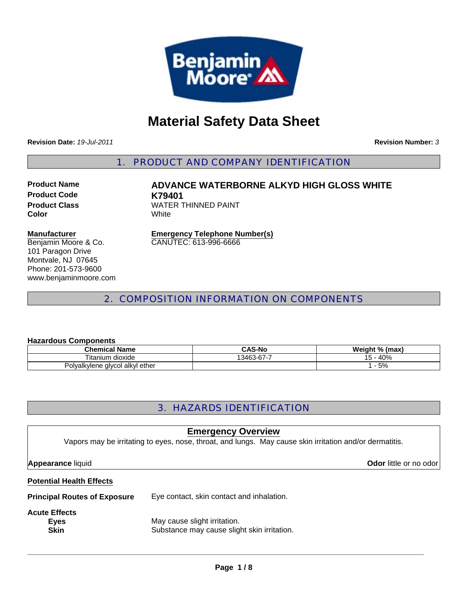

# **Material Safety Data Sheet**

**Revision Date:** *19-Jul-2011*

**Revision Number:** *3*

1. PRODUCT AND COMPANY IDENTIFICATION

**Product Code K79401 Color** White

**Product Name ADVANCE WATERBORNE ALKYD HIGH GLOSS WHITE Product Class WATER THINNED PAINT** 

#### **Manufacturer**

Benjamin Moore & Co. 101 Paragon Drive Montvale, NJ 07645 Phone: 201-573-9600 www.benjaminmoore.com

**Emergency Telephone Number(s)** CANUTEC: 613-996-6666

# 2. COMPOSITION INFORMATION ON COMPONENTS

#### **Hazardous Components**

| <b>Chemical Name</b>                      | <b>CAS-No</b>      | W.<br>eiaht %.<br>% (max) |
|-------------------------------------------|--------------------|---------------------------|
| dioxide<br>⊺ıtanıum                       | 13463-<br>.აკ-67-7 | 40%                       |
| alkyl ether<br><b>Polyalkylene glycol</b> |                    | 5%                        |

# 3. HAZARDS IDENTIFICATION

# **Potential Health Effects Principal Routes of Exposure** Eye contact, skin contact and inhalation. **Acute Effects Eyes** May cause slight irritation. **Skin** Substance may cause slight skin irritation. **Emergency Overview** Vapors may be irritating to eyes, nose, throat, and lungs. May cause skin irritation and/or dermatitis. **Appearance** liquid **Odor in the set of the set of the set of the set of the set of the set of the set of the set of the set of the set of the set of the set of the set of the set of the set of the set of the set of the se**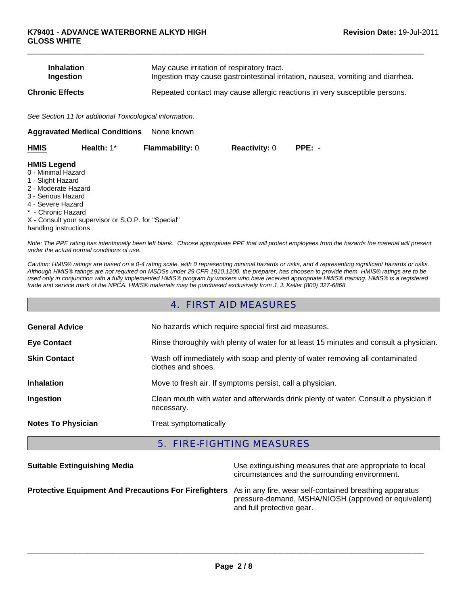| <b>Inhalation</b> | May cause irritation of respiratory tract.                                      |
|-------------------|---------------------------------------------------------------------------------|
| Ingestion         | Ingestion may cause gastrointestinal irritation, nausea, vomiting and diarrhea. |
| Chronic Effects   | Repeated contact may cause allergic reactions in very susceptible persons.      |

 $\Box$ 

*See Section 11 for additional Toxicological information.*

| None known<br><b>Aggravated Medical Conditions</b> |                                                     |                        |                      |          |  |
|----------------------------------------------------|-----------------------------------------------------|------------------------|----------------------|----------|--|
| <b>HMIS</b>                                        | Health: 1*                                          | <b>Flammability: 0</b> | <b>Reactivity: 0</b> | $PPE: -$ |  |
| <b>HMIS Legend</b>                                 |                                                     |                        |                      |          |  |
| 0 - Minimal Hazard                                 |                                                     |                        |                      |          |  |
| 1 - Slight Hazard                                  |                                                     |                        |                      |          |  |
| 2 - Moderate Hazard                                |                                                     |                        |                      |          |  |
| 3 - Serious Hazard                                 |                                                     |                        |                      |          |  |
| 4 - Severe Hazard                                  |                                                     |                        |                      |          |  |
| * - Chronic Hazard                                 |                                                     |                        |                      |          |  |
|                                                    | X - Consult your supervisor or S.O.P. for "Special" |                        |                      |          |  |
| handling instructions.                             |                                                     |                        |                      |          |  |

*Note: The PPE rating has intentionally been left blank. Choose appropriate PPE that will protect employees from the hazards the material will present under the actual normal conditions of use.*

*Caution: HMIS® ratings are based on a 0-4 rating scale, with 0 representing minimal hazards or risks, and 4 representing significant hazards or risks. Although HMIS® ratings are not required on MSDSs under 29 CFR 1910.1200, the preparer, has choosen to provide them. HMIS® ratings are to be used only in conjunction with a fully implemented HMIS® program by workers who have received appropriate HMIS® training. HMIS® is a registered trade and service mark of the NPCA. HMIS® materials may be purchased exclusively from J. J. Keller (800) 327-6868.*

### 4. FIRST AID MEASURES

| <b>General Advice</b>     | No hazards which require special first aid measures.                                               |  |  |
|---------------------------|----------------------------------------------------------------------------------------------------|--|--|
| <b>Eye Contact</b>        | Rinse thoroughly with plenty of water for at least 15 minutes and consult a physician.             |  |  |
| <b>Skin Contact</b>       | Wash off immediately with soap and plenty of water removing all contaminated<br>clothes and shoes. |  |  |
| <b>Inhalation</b>         | Move to fresh air. If symptoms persist, call a physician.                                          |  |  |
| Ingestion                 | Clean mouth with water and afterwards drink plenty of water. Consult a physician if<br>necessary.  |  |  |
| <b>Notes To Physician</b> | Treat symptomatically                                                                              |  |  |

## 5. FIRE-FIGHTING MEASURES

| <b>Suitable Extinguishing Media</b>                                                                           | Use extinguishing measures that are appropriate to local<br>circumstances and the surrounding environment. |
|---------------------------------------------------------------------------------------------------------------|------------------------------------------------------------------------------------------------------------|
| Protective Equipment And Precautions For Firefighters As in any fire, wear self-contained breathing apparatus | pressure-demand, MSHA/NIOSH (approved or equivalent)<br>and full protective gear.                          |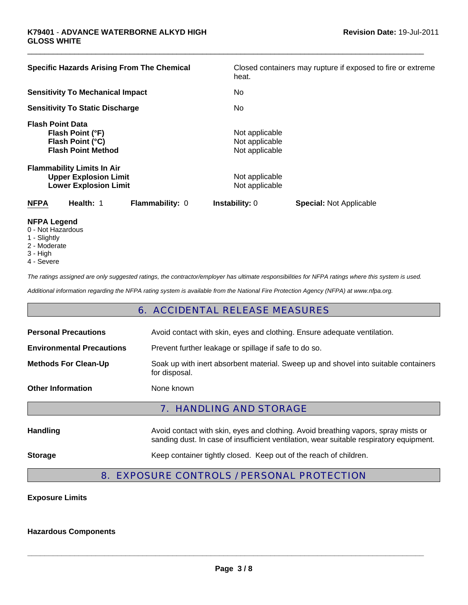| <b>Specific Hazards Arising From The Chemical</b>                                                 |                 | heat.                                              | Closed containers may rupture if exposed to fire or extreme |
|---------------------------------------------------------------------------------------------------|-----------------|----------------------------------------------------|-------------------------------------------------------------|
| <b>Sensitivity To Mechanical Impact</b>                                                           |                 | No                                                 |                                                             |
| <b>Sensitivity To Static Discharge</b>                                                            |                 | No                                                 |                                                             |
| <b>Flash Point Data</b><br>Flash Point (°F)<br>Flash Point (°C)<br><b>Flash Point Method</b>      |                 | Not applicable<br>Not applicable<br>Not applicable |                                                             |
| <b>Flammability Limits In Air</b><br><b>Upper Explosion Limit</b><br><b>Lower Explosion Limit</b> |                 | Not applicable<br>Not applicable                   |                                                             |
| <b>NFPA</b><br>Health: 1                                                                          | Flammability: 0 | <b>Instability: 0</b>                              | <b>Special: Not Applicable</b>                              |
| <b>NEDA</b> LANANA                                                                                |                 |                                                    |                                                             |

 $\Box$ 

- **NFPA Legend** 0 - Not Hazardous
- 1 Slightly
- 
- 2 Moderate
- 3 High
- 4 Severe

*The ratings assigned are only suggested ratings, the contractor/employer has ultimate responsibilities for NFPA ratings where this system is used.*

*Additional information regarding the NFPA rating system is available from the National Fire Protection Agency (NFPA) at www.nfpa.org.*

# 6. ACCIDENTAL RELEASE MEASURES

| <b>Personal Precautions</b>      | Avoid contact with skin, eyes and clothing. Ensure adequate ventilation.                                                                                                      |  |  |
|----------------------------------|-------------------------------------------------------------------------------------------------------------------------------------------------------------------------------|--|--|
| <b>Environmental Precautions</b> | Prevent further leakage or spillage if safe to do so.                                                                                                                         |  |  |
| <b>Methods For Clean-Up</b>      | Soak up with inert absorbent material. Sweep up and shovel into suitable containers<br>for disposal.                                                                          |  |  |
| <b>Other Information</b>         | None known                                                                                                                                                                    |  |  |
| <b>7. HANDLING AND STORAGE</b>   |                                                                                                                                                                               |  |  |
| <b>Handling</b>                  | Avoid contact with skin, eyes and clothing. Avoid breathing vapors, spray mists or<br>sanding dust. In case of insufficient ventilation, wear suitable respiratory equipment. |  |  |
| <b>Storage</b>                   | Keep container tightly closed. Keep out of the reach of children.                                                                                                             |  |  |
|                                  |                                                                                                                                                                               |  |  |

## 8. EXPOSURE CONTROLS / PERSONAL PROTECTION

**Exposure Limits**

**Hazardous Components**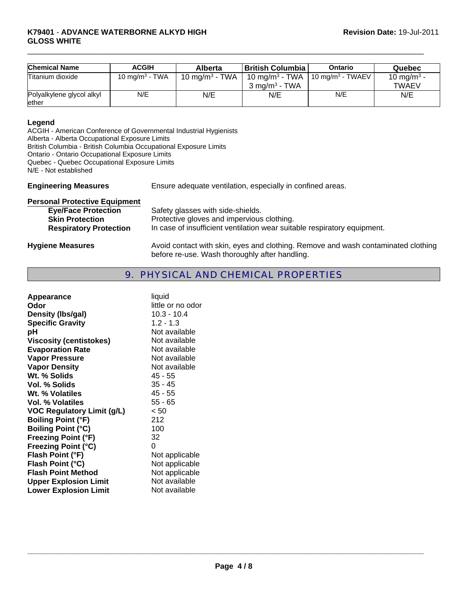| <b>Chemical Name</b>               | <b>ACGIH</b>      | <b>Alberta</b>                         | British Columbia                                                                     | Ontario | Quebec                          |
|------------------------------------|-------------------|----------------------------------------|--------------------------------------------------------------------------------------|---------|---------------------------------|
| Titanium dioxide                   | 10 mg/m $3$ - TWA | 10 mg/m <sup>3</sup> - TWA $\parallel$ | $10 \text{ mg/m}^3$ - TWA   10 mg/m <sup>3</sup> - TWAEV<br>$3 \text{ ma/m}^3$ - TWA |         | 10 mg/m <sup>3</sup> -<br>TWAEV |
| Polyalkylene glycol alkyl<br>ether | N/E               | N/E                                    | N/E                                                                                  | N/E     | N/E                             |

 $\Box$ 

#### **Legend**

ACGIH - American Conference of Governmental Industrial Hygienists Alberta - Alberta Occupational Exposure Limits British Columbia - British Columbia Occupational Exposure Limits Ontario - Ontario Occupational Exposure Limits Quebec - Quebec Occupational Exposure Limits N/E - Not established

**Engineering Measures** Ensure adequate ventilation, especially in confined areas.

| <b>Personal Protective Equipment</b> |                                                                                                                                     |
|--------------------------------------|-------------------------------------------------------------------------------------------------------------------------------------|
| <b>Eye/Face Protection</b>           | Safety glasses with side-shields.                                                                                                   |
| <b>Skin Protection</b>               | Protective gloves and impervious clothing.                                                                                          |
| <b>Respiratory Protection</b>        | In case of insufficient ventilation wear suitable respiratory equipment.                                                            |
| <b>Hygiene Measures</b>              | Avoid contact with skin, eyes and clothing. Remove and wash contaminated clothing<br>before re-use. Wash thoroughly after handling. |

# 9. PHYSICAL AND CHEMICAL PROPERTIES

| Appearance                        | liquid            |
|-----------------------------------|-------------------|
| Odor                              | little or no odor |
| Density (Ibs/gal)                 | $10.3 - 10.4$     |
| <b>Specific Gravity</b>           | $1.2 - 1.3$       |
| рH                                | Not available     |
| <b>Viscosity (centistokes)</b>    | Not available     |
| <b>Evaporation Rate</b>           | Not available     |
| <b>Vapor Pressure</b>             | Not available     |
| <b>Vapor Density</b>              | Not available     |
| Wt. % Solids                      | 45 - 55           |
| Vol. % Solids                     | $35 - 45$         |
| Wt. % Volatiles                   | 45 - 55           |
| Vol. % Volatiles                  | $55 - 65$         |
| <b>VOC Regulatory Limit (g/L)</b> | < 50              |
| <b>Boiling Point (°F)</b>         | 212               |
| <b>Boiling Point (°C)</b>         | 100               |
| <b>Freezing Point (°F)</b>        | 32                |
| <b>Freezing Point (°C)</b>        | 0                 |
| Flash Point (°F)                  | Not applicable    |
| Flash Point (°C)                  | Not applicable    |
| <b>Flash Point Method</b>         | Not applicable    |
| <b>Upper Explosion Limit</b>      | Not available     |
| <b>Lower Explosion Limit</b>      | Not available     |
|                                   |                   |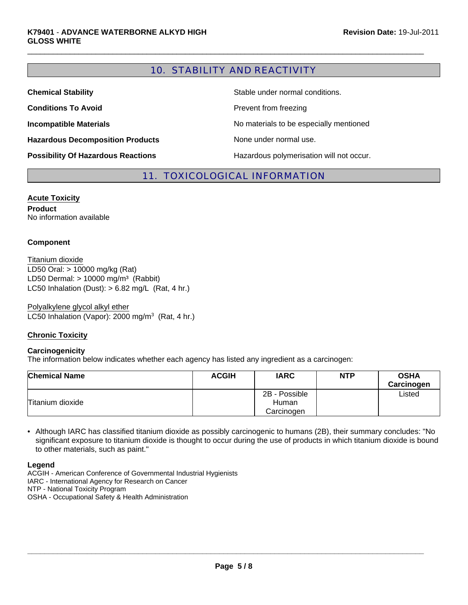# 10. STABILITY AND REACTIVITY

 $\Box$ 

| <b>Chemical Stability</b>                 | Stable under normal conditions.          |
|-------------------------------------------|------------------------------------------|
| <b>Conditions To Avoid</b>                | Prevent from freezing                    |
| <b>Incompatible Materials</b>             | No materials to be especially mentioned  |
| <b>Hazardous Decomposition Products</b>   | None under normal use.                   |
| <b>Possibility Of Hazardous Reactions</b> | Hazardous polymerisation will not occur. |

## 11. TOXICOLOGICAL INFORMATION

**Acute Toxicity Product** No information available

#### **Component**

LC50 Inhalation (Dust):  $> 6.82$  mg/L (Rat, 4 hr.) LD50 Oral: > 10000 mg/kg (Rat) LD50 Dermal:  $> 10000$  mg/m<sup>3</sup> (Rabbit) Titanium dioxide

Polyalkylene glycol alkyl ether LC50 Inhalation (Vapor): 2000 mg/m $3$  (Rat, 4 hr.)

#### **Chronic Toxicity**

#### **Carcinogenicity**

The information below indicates whether each agency has listed any ingredient as a carcinogen:

| <b>Chemical Name</b> | <b>ACGIH</b> | <b>IARC</b>   | <b>NTP</b> | <b>OSHA</b><br>Carcinogen |
|----------------------|--------------|---------------|------------|---------------------------|
|                      |              | 2B - Possible |            | Listed                    |
| Titanium dioxide     |              | Human         |            |                           |
|                      |              | Carcinogen    |            |                           |

• Although IARC has classified titanium dioxide as possibly carcinogenic to humans (2B), their summary concludes: "No significant exposure to titanium dioxide is thought to occur during the use of products in which titanium dioxide is bound to other materials, such as paint."

**Legend**

ACGIH - American Conference of Governmental Industrial Hygienists

IARC - International Agency for Research on Cancer

NTP - National Toxicity Program

OSHA - Occupational Safety & Health Administration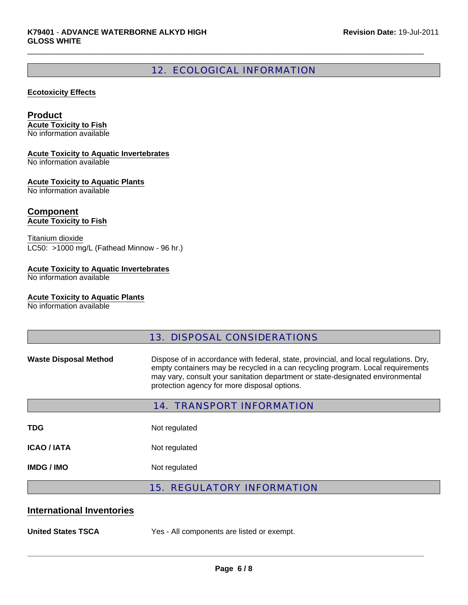# 12. ECOLOGICAL INFORMATION

 $\Box$ 

#### **Ecotoxicity Effects**

#### **Product**

**Acute Toxicity to Fish** No information available

#### **Acute Toxicity to Aquatic Invertebrates**

No information available

#### **Acute Toxicity to Aquatic Plants**

No information available

# **Component**

**Acute Toxicity to Fish**

Titanium dioxide LC50: >1000 mg/L (Fathead Minnow - 96 hr.)

#### **Acute Toxicity to Aquatic Invertebrates**

No information available

#### **Acute Toxicity to Aquatic Plants**

No information available

## 13. DISPOSAL CONSIDERATIONS

Waste Disposal Method **Dispose of in accordance with federal**, state, provincial, and local regulations. Dry, empty containers may be recycled in a can recycling program. Local requirements may vary, consult your sanitation department or state-designated environmental protection agency for more disposal options.

| <b>14. TRANSPORT INFORMATION</b> |                                   |  |  |  |
|----------------------------------|-----------------------------------|--|--|--|
| <b>TDG</b>                       | Not regulated                     |  |  |  |
| ICAO / IATA                      | Not regulated                     |  |  |  |
| <b>IMDG / IMO</b>                | Not regulated                     |  |  |  |
|                                  | <b>15. REGULATORY INFORMATION</b> |  |  |  |

### **International Inventories**

**United States TSCA** Yes - All components are listed or exempt.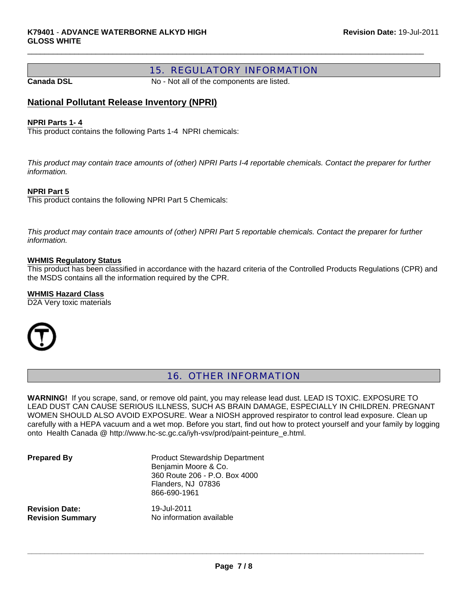## 15. REGULATORY INFORMATION

**Canada DSL** No - Not all of the components are listed.

 $\Box$ 

## **National Pollutant Release Inventory (NPRI)**

#### **NPRI Parts 1- 4**

This product contains the following Parts 1-4 NPRI chemicals:

*This product may contain trace amounts of (other) NPRI Parts I-4 reportable chemicals. Contact the preparer for further information.*

#### **NPRI Part 5**

This product contains the following NPRI Part 5 Chemicals:

*This product may contain trace amounts of (other) NPRI Part 5 reportable chemicals. Contact the preparer for further information.*

#### **WHMIS Regulatory Status**

This product has been classified in accordance with the hazard criteria of the Controlled Products Regulations (CPR) and the MSDS contains all the information required by the CPR.

#### **WHMIS Hazard Class**

D2A Very toxic materials



## 16. OTHER INFORMATION

**WARNING!** If you scrape, sand, or remove old paint, you may release lead dust. LEAD IS TOXIC. EXPOSURE TO LEAD DUST CAN CAUSE SERIOUS ILLNESS, SUCH AS BRAIN DAMAGE, ESPECIALLY IN CHILDREN. PREGNANT WOMEN SHOULD ALSO AVOID EXPOSURE. Wear a NIOSH approved respirator to control lead exposure. Clean up carefully with a HEPA vacuum and a wet mop. Before you start, find out how to protect yourself and your family by logging onto Health Canada @ http://www.hc-sc.gc.ca/iyh-vsv/prod/paint-peinture\_e.html.

**Prepared By** Product Stewardship Department Benjamin Moore & Co. 360 Route 206 - P.O. Box 4000 Flanders, NJ 07836 866-690-1961

**Revision Date:** 19-Jul-2011

**Revision Summary** No information available